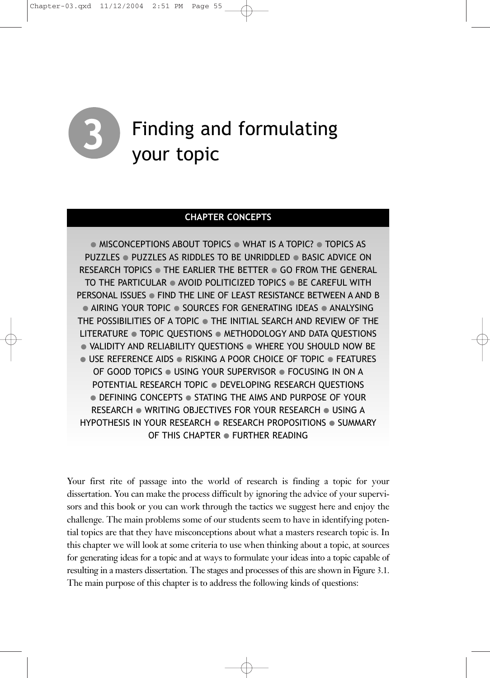3

# Finding and formulating your topic

#### CHAPTER CONCEPTS

● MISCONCEPTIONS ABOUT TOPICS ● WHAT IS A TOPIC? ● TOPICS AS PUZZLES ● PUZZLES AS RIDDLES TO BE UNRIDDLED ● BASIC ADVICE ON RESEARCH TOPICS ● THE EARLIER THE BETTER ● GO FROM THE GENERAL TO THE PARTICULAR ● AVOID POLITICIZED TOPICS ● BE CAREFUL WITH PERSONAL ISSUES ● FIND THE LINE OF LEAST RESISTANCE BETWEEN A AND B ● AIRING YOUR TOPIC ● SOURCES FOR GENERATING IDEAS ● ANALYSING THE POSSIBILITIES OF A TOPIC ● THE INITIAL SEARCH AND REVIEW OF THE LITERATURE ● TOPIC QUESTIONS ● METHODOLOGY AND DATA QUESTIONS ● VALIDITY AND RELIABILITY QUESTIONS ● WHERE YOU SHOULD NOW BE ● USE REFERENCE AIDS ● RISKING A POOR CHOICE OF TOPIC ● FEATURES OF GOOD TOPICS ● USING YOUR SUPERVISOR ● FOCUSING IN ON A POTENTIAL RESEARCH TOPIC ● DEVELOPING RESEARCH QUESTIONS ● DEFINING CONCEPTS ● STATING THE AIMS AND PURPOSE OF YOUR RESEARCH ● WRITING OBJECTIVES FOR YOUR RESEARCH ● USING A HYPOTHESIS IN YOUR RESEARCH ● RESEARCH PROPOSITIONS ● SUMMARY OF THIS CHAPTER ● FURTHER READING

Your first rite of passage into the world of research is finding a topic for your dissertation. You can make the process difficult by ignoring the advice of your supervisors and this book or you can work through the tactics we suggest here and enjoy the challenge. The main problems some of our students seem to have in identifying potential topics are that they have misconceptions about what a masters research topic is. In this chapter we will look at some criteria to use when thinking about a topic, at sources for generating ideas for a topic and at ways to formulate your ideas into a topic capable of resulting in a masters dissertation. The stages and processes of this are shown in Figure 3.1. The main purpose of this chapter is to address the following kinds of questions: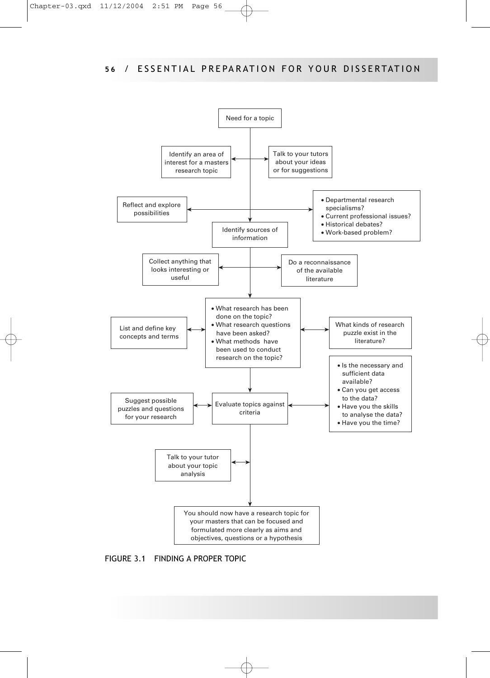#### 5 6 / ESSENTIAL PREPARATION FOR YOUR DISSERTATION



FIGURE 3.1 FINDING A PROPER TOPIC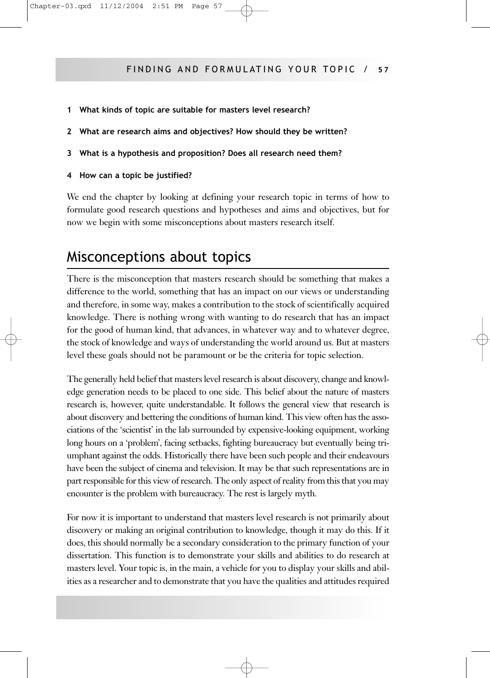- 1 What kinds of topic are suitable for masters level research?
- 2 What are research aims and objectives? How should they be written?
- 3 What is a hypothesis and proposition? Does all research need them?
- 4 How can a topic be justified?

We end the chapter by looking at defining your research topic in terms of how to formulate good research questions and hypotheses and aims and objectives, but for now we begin with some misconceptions about masters research itself.

# Misconceptions about topics

There is the misconception that masters research should be something that makes a difference to the world, something that has an impact on our views or understanding and therefore, in some way, makes a contribution to the stock of scientifically acquired knowledge. There is nothing wrong with wanting to do research that has an impact for the good of human kind, that advances, in whatever way and to whatever degree, the stock of knowledge and ways of understanding the world around us. But at masters level these goals should not be paramount or be the criteria for topic selection.

The generally held belief that masters level research is about discovery, change and knowledge generation needs to be placed to one side. This belief about the nature of masters research is, however, quite understandable. It follows the general view that research is about discovery and bettering the conditions of human kind. This view often has the associations of the 'scientist' in the lab surrounded by expensive-looking equipment, working long hours on a 'problem', facing setbacks, fighting bureaucracy but eventually being triumphant against the odds. Historically there have been such people and their endeavours have been the subject of cinema and television. It may be that such representations are in part responsible for this view of research. The only aspect of reality from this that you may encounter is the problem with bureaucracy. The rest is largely myth.

For now it is important to understand that masters level research is not primarily about discovery or making an original contribution to knowledge, though it may do this. If it does, this should normally be a secondary consideration to the primary function of your dissertation. This function is to demonstrate your skills and abilities to do research at masters level. Your topic is, in the main, a vehicle for you to display your skills and abilities as a researcher and to demonstrate that you have the qualities and attitudes required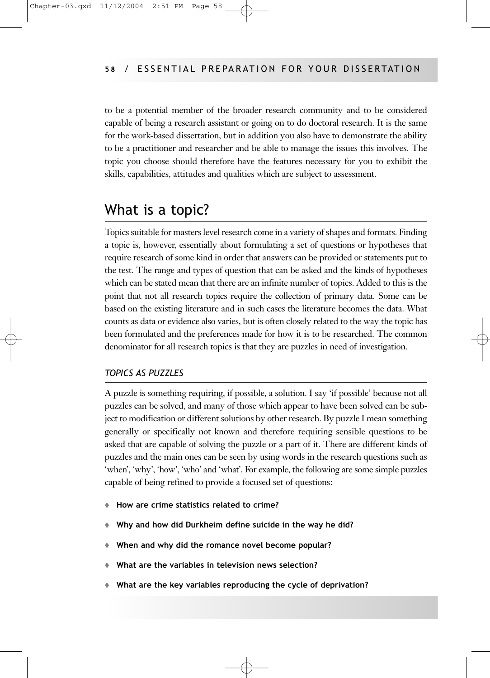#### 5 8 / ESSENTIAL PREPARATION FOR YOUR DISSERTATION

to be a potential member of the broader research community and to be considered capable of being a research assistant or going on to do doctoral research. It is the same for the work-based dissertation, but in addition you also have to demonstrate the ability to be a practitioner and researcher and be able to manage the issues this involves. The topic you choose should therefore have the features necessary for you to exhibit the skills, capabilities, attitudes and qualities which are subject to assessment.

### What is a topic?

Topics suitable for masters level research come in a variety of shapes and formats. Finding a topic is, however, essentially about formulating a set of questions or hypotheses that require research of some kind in order that answers can be provided or statements put to the test. The range and types of question that can be asked and the kinds of hypotheses which can be stated mean that there are an infinite number of topics. Added to this is the point that not all research topics require the collection of primary data. Some can be based on the existing literature and in such cases the literature becomes the data. What counts as data or evidence also varies, but is often closely related to the way the topic has been formulated and the preferences made for how it is to be researched. The common denominator for all research topics is that they are puzzles in need of investigation.

#### TOPICS AS PUZZLES

A puzzle is something requiring, if possible, a solution. I say 'if possible' because not all puzzles can be solved, and many of those which appear to have been solved can be subject to modification or different solutions by other research. By puzzle I mean something generally or specifically not known and therefore requiring sensible questions to be asked that are capable of solving the puzzle or a part of it. There are different kinds of puzzles and the main ones can be seen by using words in the research questions such as 'when', 'why', 'how', 'who' and 'what'. For example, the following are some simple puzzles capable of being refined to provide a focused set of questions:

- How are crime statistics related to crime?
- Why and how did Durkheim define suicide in the way he did?
- When and why did the romance novel become popular?
- What are the variables in television news selection?
- What are the key variables reproducing the cycle of deprivation?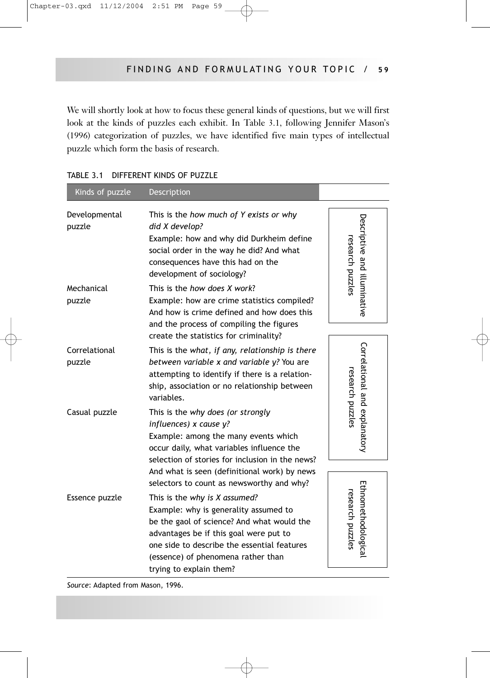We will shortly look at how to focus these general kinds of questions, but we will first look at the kinds of puzzles each exhibit. In Table 3.1, following Jennifer Mason's (1996) categorization of puzzles, we have identified five main types of intellectual puzzle which form the basis of research.

| Kinds of puzzle         | Description                                                                                                                                                                                                                                                                    |                                                   |
|-------------------------|--------------------------------------------------------------------------------------------------------------------------------------------------------------------------------------------------------------------------------------------------------------------------------|---------------------------------------------------|
| Developmental<br>puzzle | This is the how much of Y exists or why<br>did X develop?<br>Example: how and why did Durkheim define<br>social order in the way he did? And what<br>consequences have this had on the<br>development of sociology?                                                            | Descriptive and illuminative<br>research puzzles  |
| Mechanical<br>puzzle    | This is the how does X work?<br>Example: how are crime statistics compiled?<br>And how is crime defined and how does this<br>and the process of compiling the figures<br>create the statistics for criminality?                                                                |                                                   |
| Correlational<br>puzzle | This is the what, if any, relationship is there<br>between variable x and variable y? You are<br>attempting to identify if there is a relation-<br>ship, association or no relationship between<br>variables.                                                                  | Correlational and explanatory<br>research puzzles |
| Casual puzzle           | This is the why does (or strongly<br>influences) x cause y?<br>Example: among the many events which<br>occur daily, what variables influence the<br>selection of stories for inclusion in the news?                                                                            |                                                   |
|                         | And what is seen (definitional work) by news<br>selectors to count as newsworthy and why?                                                                                                                                                                                      |                                                   |
| Essence puzzle          | This is the why is X assumed?<br>Example: why is generality assumed to<br>be the gaol of science? And what would the<br>advantages be if this goal were put to<br>one side to describe the essential features<br>(essence) of phenomena rather than<br>trying to explain them? | Ethnomethodologica<br>research puzzles            |

#### TABLE 3.1 DIFFERENT KINDS OF PUZZLE

Source: Adapted from Mason, 1996.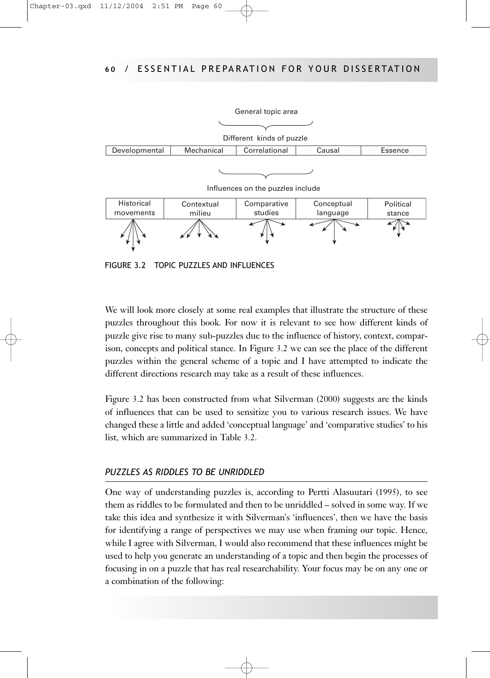#### 6 0 / ESSENTIAL PREPARATION FOR YOUR DISSERTATION



FIGURE 3.2 TOPIC PUZZLES AND INFLUENCES

We will look more closely at some real examples that illustrate the structure of these puzzles throughout this book. For now it is relevant to see how different kinds of puzzle give rise to many sub-puzzles due to the influence of history, context, comparison, concepts and political stance. In Figure 3.2 we can see the place of the different puzzles within the general scheme of a topic and I have attempted to indicate the different directions research may take as a result of these influences.

Figure 3.2 has been constructed from what Silverman (2000) suggests are the kinds of influences that can be used to sensitize you to various research issues. We have changed these a little and added 'conceptual language' and 'comparative studies' to his list, which are summarized in Table 3.2.

#### PUZZLES AS RIDDLES TO BE UNRIDDLED

One way of understanding puzzles is, according to Pertti Alasuutari (1995), to see them as riddles to be formulated and then to be unriddled – solved in some way. If we take this idea and synthesize it with Silverman's 'influences', then we have the basis for identifying a range of perspectives we may use when framing our topic. Hence, while I agree with Silverman, I would also recommend that these influences might be used to help you generate an understanding of a topic and then begin the processes of focusing in on a puzzle that has real researchability. Your focus may be on any one or a combination of the following: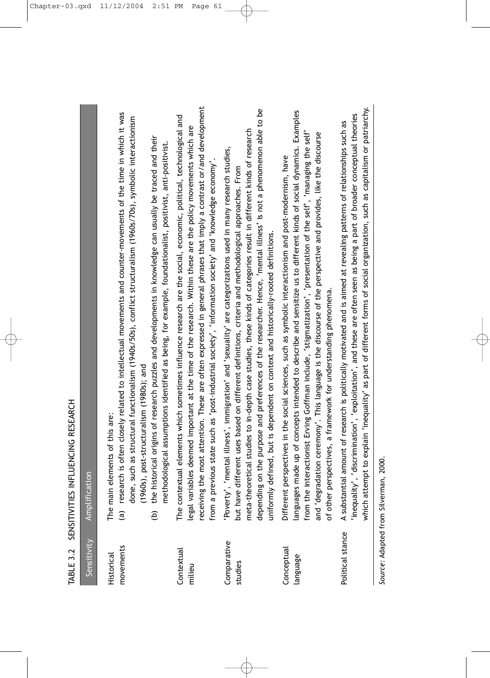# TABLE 3.2 SENSITIVITIES INFLUENCING RESEARCH TABLE 3.2 SENSITIVITIES INFLUENCING RESEARCH

| Sensitivity             | Amplification                                                                                                                                                                                                                                                                                                                                                                                                                                                                                                                                                     |
|-------------------------|-------------------------------------------------------------------------------------------------------------------------------------------------------------------------------------------------------------------------------------------------------------------------------------------------------------------------------------------------------------------------------------------------------------------------------------------------------------------------------------------------------------------------------------------------------------------|
| movements<br>Historical | research is often closely related to intellectual movements and counter-movements of the time in which it was<br>done, such as structural functionalism (1940s/50s), conflict structuralism (1960s/70s), symbolic interactionism<br>the historical origins of research puzzles and developments in knowledge can usually be traced and their<br>methodological assumptions identified as being, for example, foundationalist, positivist, anti-positivist.<br>(1960s), post-structuralism (1980s); and<br>main elements of this are:<br>The<br>$\widehat{a}$<br>ව |
| Contextual<br>milieu    | receiving the most attention. These are often expressed in general phrases that imply a contrast or/and development<br>contextual elements which sometimes influence research are the social, economic, political, technological and<br>legal variables deemed important at the time of the research. Within these are the policy movements which are<br>from a previous state such as 'post-industrial society', 'information society' and 'knowledge economy'.<br>The                                                                                           |
| Comparative<br>studies  | depending on the purpose and preferences of the researcher. Hence, 'mental illness' is not a phenomenon able to be<br>meta-theoretical studies to in-depth case studies, these kinds of categories result in different kinds of research<br>'Poverty', 'mental illness', immigration' and 'sexuality' are categorizations used in many research studies,<br>but have different uses based on different definitions, criteria and methodological approaches. From<br>uniformly defined, but is dependent on context and historically-rooted definitions.           |
| Conceptual<br>language  | languages made up of concepts intended to describe and sensitize us to different kinds of social dynamics. Examples<br>from the interactionist Erving Goffman include, 'stigmatization', 'presentation of the self', 'managing the self'<br>I 'degradation ceremony'. This language is the discourse of the perspective and provides, like the discourse<br>Different perspectives in the social sciences, such as symbolic interactionism and post-modernism, have<br>of other perspectives, a framework for understanding phenomena.<br>and                     |
| Political stance        | which attempt to explain 'inequality' as part of different forms of social organization, such as capitalism or patriarchy.<br>'inequality', 'discrimination', 'exploitation', and these are often seen as being a part of broader conceptual theories<br>A substantial amount of research is politically motivated and is aimed at revealing patterns of relationships such as                                                                                                                                                                                    |

 $\bigoplus$ 

 $\overline{\varphi}$ 

Source: Adapted from Silverman, 2000. Source: Adapted from Silverman, 2000.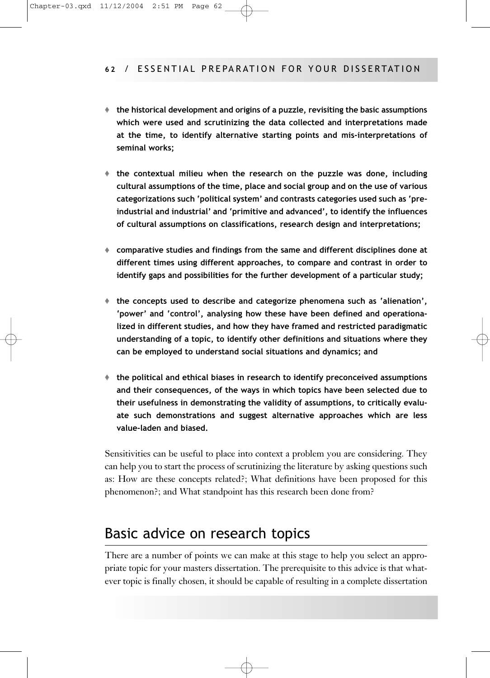#### 6 2 / ESSENTIAL PREPARATION FOR YOUR DISSERTATION

- $*$  the historical development and origins of a puzzle, revisiting the basic assumptions which were used and scrutinizing the data collected and interpretations made at the time, to identify alternative starting points and mis-interpretations of seminal works;
- ♦ the contextual milieu when the research on the puzzle was done, including cultural assumptions of the time, place and social group and on the use of various categorizations such 'political system' and contrasts categories used such as 'preindustrial and industrial' and 'primitive and advanced', to identify the influences of cultural assumptions on classifications, research design and interpretations;
- comparative studies and findings from the same and different disciplines done at different times using different approaches, to compare and contrast in order to identify gaps and possibilities for the further development of a particular study;
- ♦ the concepts used to describe and categorize phenomena such as 'alienation', 'power' and 'control', analysing how these have been defined and operationalized in different studies, and how they have framed and restricted paradigmatic understanding of a topic, to identify other definitions and situations where they can be employed to understand social situations and dynamics; and
- the political and ethical biases in research to identify preconceived assumptions and their consequences, of the ways in which topics have been selected due to their usefulness in demonstrating the validity of assumptions, to critically evaluate such demonstrations and suggest alternative approaches which are less value-laden and biased.

Sensitivities can be useful to place into context a problem you are considering. They can help you to start the process of scrutinizing the literature by asking questions such as: How are these concepts related?; What definitions have been proposed for this phenomenon?; and What standpoint has this research been done from?

# Basic advice on research topics

There are a number of points we can make at this stage to help you select an appropriate topic for your masters dissertation. The prerequisite to this advice is that whatever topic is finally chosen, it should be capable of resulting in a complete dissertation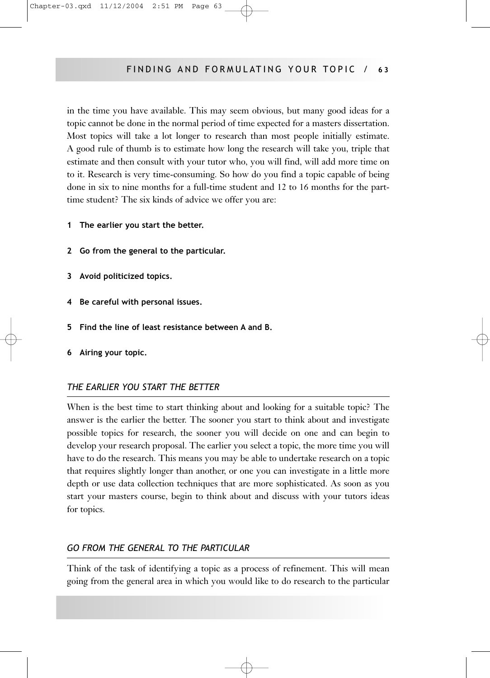Chapter-03.qxd 11/12/2004 2:51 PM Page

#### FINDING AND FORMULATING YOUR TOPIC / 6 3

in the time you have available. This may seem obvious, but many good ideas for a topic cannot be done in the normal period of time expected for a masters dissertation. Most topics will take a lot longer to research than most people initially estimate. A good rule of thumb is to estimate how long the research will take you, triple that estimate and then consult with your tutor who, you will find, will add more time on to it. Research is very time-consuming. So how do you find a topic capable of being done in six to nine months for a full-time student and 12 to 16 months for the parttime student? The six kinds of advice we offer you are:

- 1 The earlier you start the better.
- 2 Go from the general to the particular.
- 3 Avoid politicized topics.
- Be careful with personal issues.
- 5 Find the line of least resistance between A and B.
- 6 Airing your topic.

#### THE EARLIER YOU START THE BETTER

When is the best time to start thinking about and looking for a suitable topic? The answer is the earlier the better. The sooner you start to think about and investigate possible topics for research, the sooner you will decide on one and can begin to develop your research proposal. The earlier you select a topic, the more time you will have to do the research. This means you may be able to undertake research on a topic that requires slightly longer than another, or one you can investigate in a little more depth or use data collection techniques that are more sophisticated. As soon as you start your masters course, begin to think about and discuss with your tutors ideas for topics.

#### GO FROM THE GENERAL TO THE PARTICULAR

Think of the task of identifying a topic as a process of refinement. This will mean going from the general area in which you would like to do research to the particular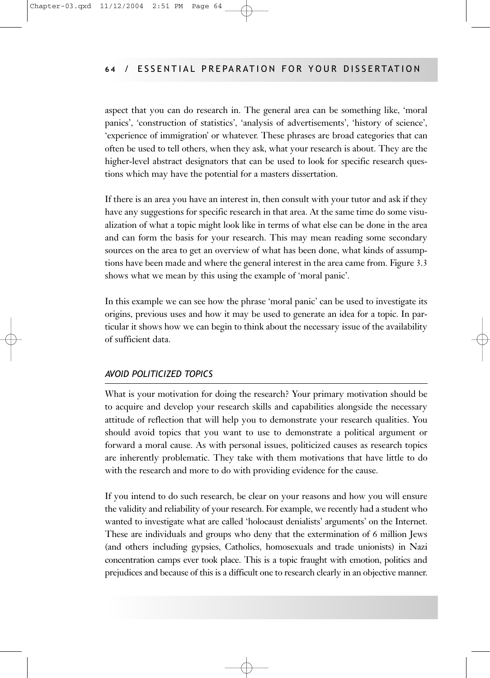#### 6 4 / ESSENTIAL PREPARATION FOR YOUR DISSERTATION

aspect that you can do research in. The general area can be something like, 'moral panics', 'construction of statistics', 'analysis of advertisements', 'history of science', 'experience of immigration' or whatever. These phrases are broad categories that can often be used to tell others, when they ask, what your research is about. They are the higher-level abstract designators that can be used to look for specific research questions which may have the potential for a masters dissertation.

If there is an area you have an interest in, then consult with your tutor and ask if they have any suggestions for specific research in that area. At the same time do some visualization of what a topic might look like in terms of what else can be done in the area and can form the basis for your research. This may mean reading some secondary sources on the area to get an overview of what has been done, what kinds of assumptions have been made and where the general interest in the area came from. Figure 3.3 shows what we mean by this using the example of 'moral panic'.

In this example we can see how the phrase 'moral panic' can be used to investigate its origins, previous uses and how it may be used to generate an idea for a topic. In particular it shows how we can begin to think about the necessary issue of the availability of sufficient data.

#### AVOID POLITICIZED TOPICS

What is your motivation for doing the research? Your primary motivation should be to acquire and develop your research skills and capabilities alongside the necessary attitude of reflection that will help you to demonstrate your research qualities. You should avoid topics that you want to use to demonstrate a political argument or forward a moral cause. As with personal issues, politicized causes as research topics are inherently problematic. They take with them motivations that have little to do with the research and more to do with providing evidence for the cause.

If you intend to do such research, be clear on your reasons and how you will ensure the validity and reliability of your research. For example, we recently had a student who wanted to investigate what are called 'holocaust denialists' arguments' on the Internet. These are individuals and groups who deny that the extermination of 6 million Jews (and others including gypsies, Catholics, homosexuals and trade unionists) in Nazi concentration camps ever took place. This is a topic fraught with emotion, politics and prejudices and because of this is a difficult one to research clearly in an objective manner.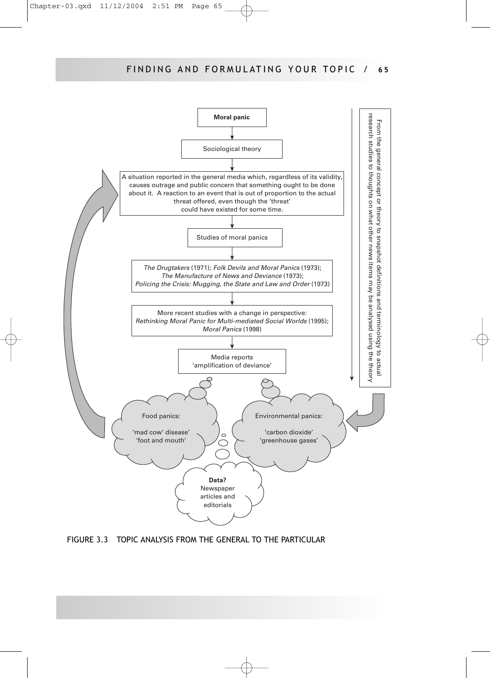



FIGURE 3.3 TOPIC ANALYSIS FROM THE GENERAL TO THE PARTICULAR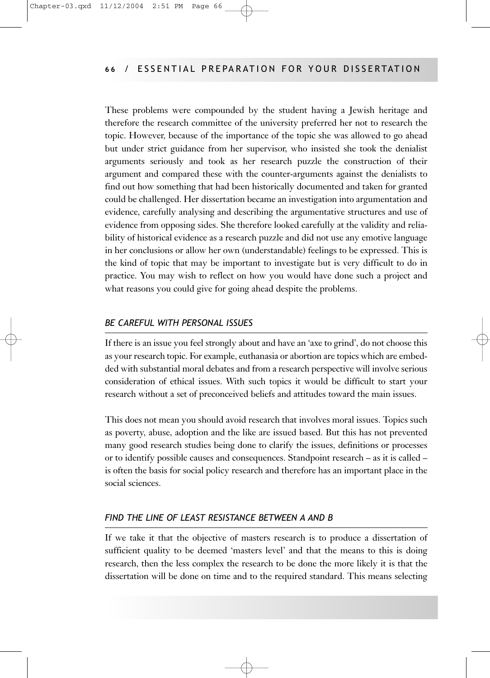#### 6 6 / ESSENTIAL PREPARATION FOR YOUR DISSERTATION

These problems were compounded by the student having a Jewish heritage and therefore the research committee of the university preferred her not to research the topic. However, because of the importance of the topic she was allowed to go ahead but under strict guidance from her supervisor, who insisted she took the denialist arguments seriously and took as her research puzzle the construction of their argument and compared these with the counter-arguments against the denialists to find out how something that had been historically documented and taken for granted could be challenged. Her dissertation became an investigation into argumentation and evidence, carefully analysing and describing the argumentative structures and use of evidence from opposing sides. She therefore looked carefully at the validity and reliability of historical evidence as a research puzzle and did not use any emotive language in her conclusions or allow her own (understandable) feelings to be expressed. This is the kind of topic that may be important to investigate but is very difficult to do in practice. You may wish to reflect on how you would have done such a project and what reasons you could give for going ahead despite the problems.

#### BE CAREFUL WITH PERSONAL ISSUES

If there is an issue you feel strongly about and have an 'axe to grind', do not choose this as your research topic. For example, euthanasia or abortion are topics which are embedded with substantial moral debates and from a research perspective will involve serious consideration of ethical issues. With such topics it would be difficult to start your research without a set of preconceived beliefs and attitudes toward the main issues.

This does not mean you should avoid research that involves moral issues. Topics such as poverty, abuse, adoption and the like are issued based. But this has not prevented many good research studies being done to clarify the issues, definitions or processes or to identify possible causes and consequences. Standpoint research – as it is called – is often the basis for social policy research and therefore has an important place in the social sciences.

#### FIND THE LINE OF LEAST RESISTANCE BETWEEN A AND B

If we take it that the objective of masters research is to produce a dissertation of sufficient quality to be deemed 'masters level' and that the means to this is doing research, then the less complex the research to be done the more likely it is that the dissertation will be done on time and to the required standard. This means selecting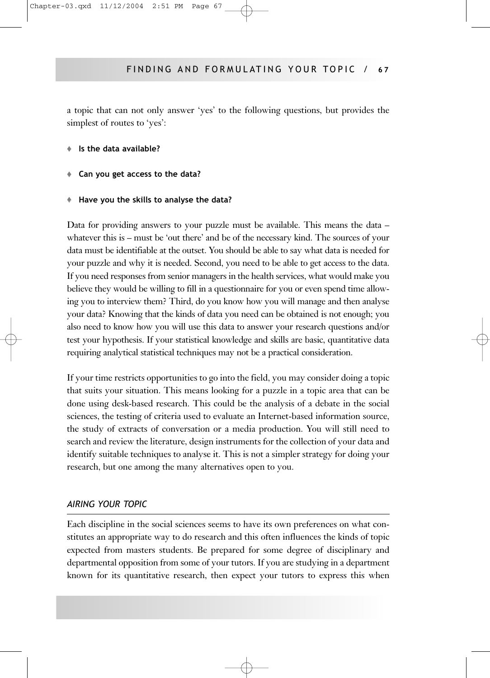a topic that can not only answer 'yes' to the following questions, but provides the simplest of routes to 'yes':

#### Is the data available?

Can you get access to the data?

#### Have you the skills to analyse the data?

Data for providing answers to your puzzle must be available. This means the data – whatever this is – must be 'out there' and be of the necessary kind. The sources of your data must be identifiable at the outset. You should be able to say what data is needed for your puzzle and why it is needed. Second, you need to be able to get access to the data. If you need responses from senior managers in the health services, what would make you believe they would be willing to fill in a questionnaire for you or even spend time allowing you to interview them? Third, do you know how you will manage and then analyse your data? Knowing that the kinds of data you need can be obtained is not enough; you also need to know how you will use this data to answer your research questions and/or test your hypothesis. If your statistical knowledge and skills are basic, quantitative data requiring analytical statistical techniques may not be a practical consideration.

If your time restricts opportunities to go into the field, you may consider doing a topic that suits your situation. This means looking for a puzzle in a topic area that can be done using desk-based research. This could be the analysis of a debate in the social sciences, the testing of criteria used to evaluate an Internet-based information source, the study of extracts of conversation or a media production. You will still need to search and review the literature, design instruments for the collection of your data and identify suitable techniques to analyse it. This is not a simpler strategy for doing your research, but one among the many alternatives open to you.

#### AIRING YOUR TOPIC

Each discipline in the social sciences seems to have its own preferences on what constitutes an appropriate way to do research and this often influences the kinds of topic expected from masters students. Be prepared for some degree of disciplinary and departmental opposition from some of your tutors. If you are studying in a department known for its quantitative research, then expect your tutors to express this when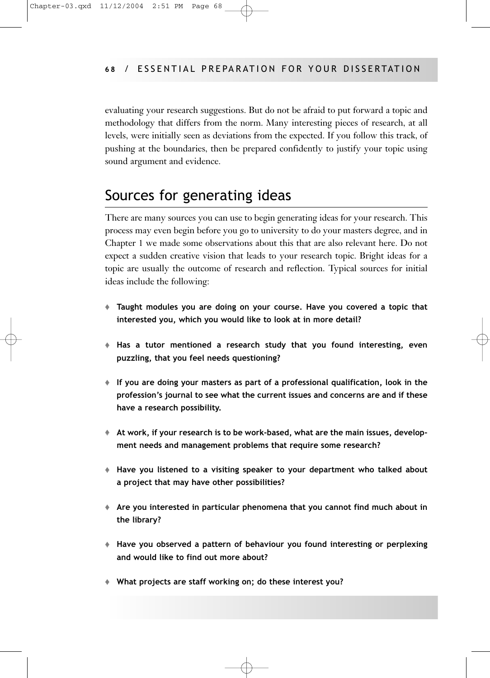#### 6 8 / ESSENTIAL PREPARATION FOR YOUR DISSERTATION

evaluating your research suggestions. But do not be afraid to put forward a topic and methodology that differs from the norm. Many interesting pieces of research, at all levels, were initially seen as deviations from the expected. If you follow this track, of pushing at the boundaries, then be prepared confidently to justify your topic using sound argument and evidence.

# Sources for generating ideas

There are many sources you can use to begin generating ideas for your research. This process may even begin before you go to university to do your masters degree, and in Chapter 1 we made some observations about this that are also relevant here. Do not expect a sudden creative vision that leads to your research topic. Bright ideas for a topic are usually the outcome of research and reflection. Typical sources for initial ideas include the following:

- ♦ Taught modules you are doing on your course. Have you covered a topic that interested you, which you would like to look at in more detail?
- ♦ Has a tutor mentioned a research study that you found interesting, even puzzling, that you feel needs questioning?
- ♦ If you are doing your masters as part of a professional qualification, look in the profession's journal to see what the current issues and concerns are and if these have a research possibility.
- ♦ At work, if your research is to be work-based, what are the main issues, development needs and management problems that require some research?
- ♦ Have you listened to a visiting speaker to your department who talked about a project that may have other possibilities?
- ♦ Are you interested in particular phenomena that you cannot find much about in the library?
- ♦ Have you observed a pattern of behaviour you found interesting or perplexing and would like to find out more about?
- What projects are staff working on; do these interest you?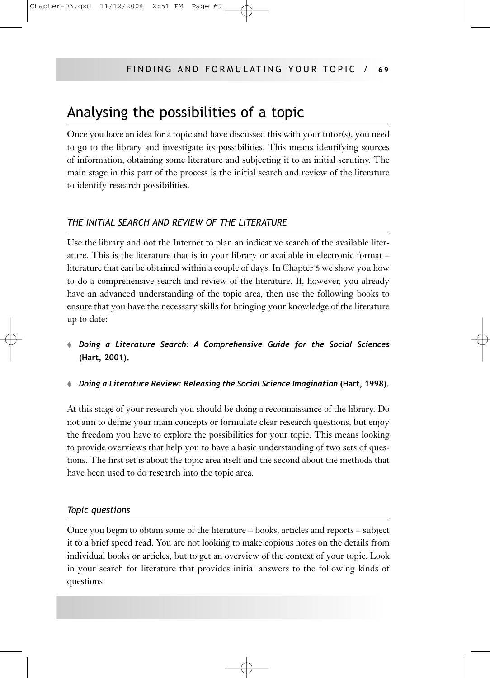# Analysing the possibilities of a topic

Once you have an idea for a topic and have discussed this with your tutor(s), you need to go to the library and investigate its possibilities. This means identifying sources of information, obtaining some literature and subjecting it to an initial scrutiny. The main stage in this part of the process is the initial search and review of the literature to identify research possibilities.

#### THE INITIAL SEARCH AND REVIEW OF THE LITERATURE

Use the library and not the Internet to plan an indicative search of the available literature. This is the literature that is in your library or available in electronic format – literature that can be obtained within a couple of days. In Chapter 6 we show you how to do a comprehensive search and review of the literature. If, however, you already have an advanced understanding of the topic area, then use the following books to ensure that you have the necessary skills for bringing your knowledge of the literature up to date:

Doing a Literature Search: A Comprehensive Guide for the Social Sciences (Hart, 2001).

Doing a Literature Review: Releasing the Social Science Imagination (Hart, 1998).

At this stage of your research you should be doing a reconnaissance of the library. Do not aim to define your main concepts or formulate clear research questions, but enjoy the freedom you have to explore the possibilities for your topic. This means looking to provide overviews that help you to have a basic understanding of two sets of questions. The first set is about the topic area itself and the second about the methods that have been used to do research into the topic area.

#### Topic questions

Once you begin to obtain some of the literature – books, articles and reports – subject it to a brief speed read. You are not looking to make copious notes on the details from individual books or articles, but to get an overview of the context of your topic. Look in your search for literature that provides initial answers to the following kinds of questions: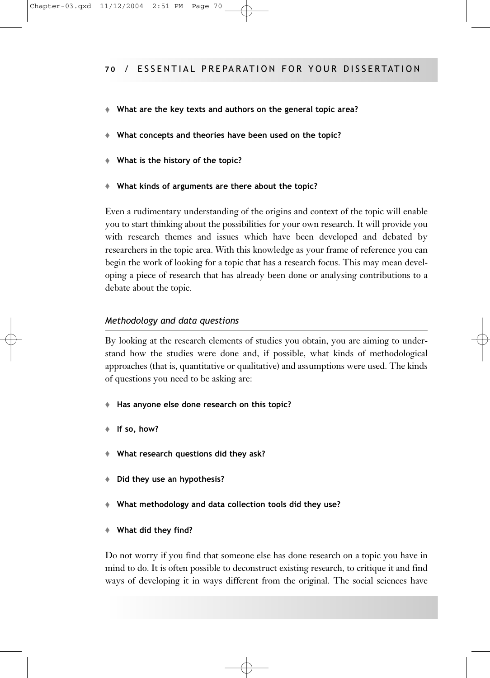#### 7 0 / ESSENTIAL PREPARATION FOR YOUR DISSERTATION

- What are the key texts and authors on the general topic area?
- What concepts and theories have been used on the topic?
- What is the history of the topic?
- What kinds of arguments are there about the topic?

Even a rudimentary understanding of the origins and context of the topic will enable you to start thinking about the possibilities for your own research. It will provide you with research themes and issues which have been developed and debated by researchers in the topic area. With this knowledge as your frame of reference you can begin the work of looking for a topic that has a research focus. This may mean developing a piece of research that has already been done or analysing contributions to a debate about the topic.

#### Methodology and data questions

By looking at the research elements of studies you obtain, you are aiming to understand how the studies were done and, if possible, what kinds of methodological approaches (that is, quantitative or qualitative) and assumptions were used. The kinds of questions you need to be asking are:

- ♦ Has anyone else done research on this topic?
- If so, how?
- What research questions did they ask?
- Did they use an hypothesis?
- What methodology and data collection tools did they use?
- ♦ What did they find?

Do not worry if you find that someone else has done research on a topic you have in mind to do. It is often possible to deconstruct existing research, to critique it and find ways of developing it in ways different from the original. The social sciences have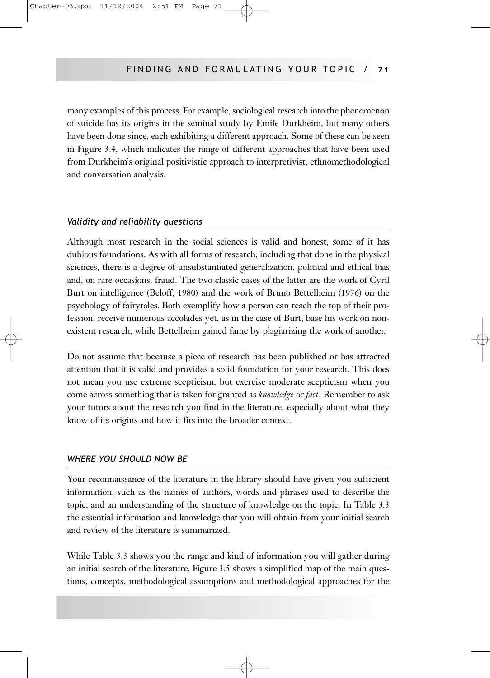many examples of this process. For example, sociological research into the phenomenon of suicide has its origins in the seminal study by Emile Durkheim, but many others have been done since, each exhibiting a different approach. Some of these can be seen in Figure 3.4, which indicates the range of different approaches that have been used from Durkheim's original positivistic approach to interpretivist, ethnomethodological and conversation analysis.

#### Validity and reliability questions

Although most research in the social sciences is valid and honest, some of it has dubious foundations. As with all forms of research, including that done in the physical sciences, there is a degree of unsubstantiated generalization, political and ethical bias and, on rare occasions, fraud. The two classic cases of the latter are the work of Cyril Burt on intelligence (Beloff, 1980) and the work of Bruno Bettelheim (1976) on the psychology of fairytales. Both exemplify how a person can reach the top of their profession, receive numerous accolades yet, as in the case of Burt, base his work on nonexistent research, while Bettelheim gained fame by plagiarizing the work of another.

Do not assume that because a piece of research has been published or has attracted attention that it is valid and provides a solid foundation for your research. This does not mean you use extreme scepticism, but exercise moderate scepticism when you come across something that is taken for granted as *knowledge* or *fact*. Remember to ask your tutors about the research you find in the literature, especially about what they know of its origins and how it fits into the broader context.

#### WHERE YOU SHOULD NOW BE

Your reconnaissance of the literature in the library should have given you sufficient information, such as the names of authors, words and phrases used to describe the topic, and an understanding of the structure of knowledge on the topic. In Table 3.3 the essential information and knowledge that you will obtain from your initial search and review of the literature is summarized.

While Table 3.3 shows you the range and kind of information you will gather during an initial search of the literature, Figure 3.5 shows a simplified map of the main questions, concepts, methodological assumptions and methodological approaches for the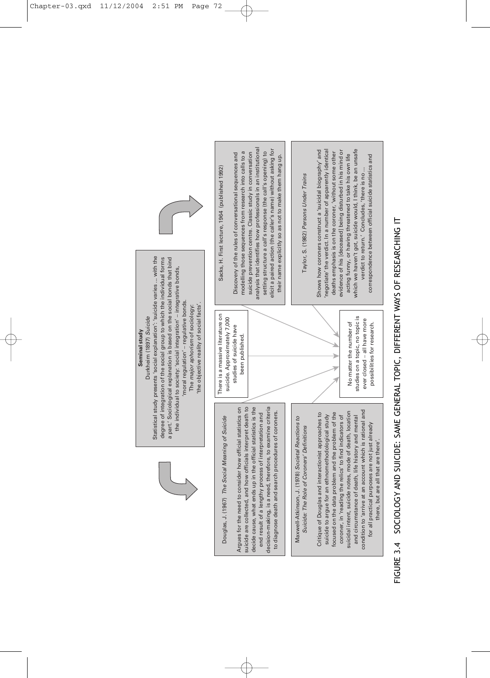

 $\displaystyle \bigoplus$ 

# FIGURE 3.4 SOCIOLOGY AND SUICIDE: SAME GENERAL TOPIC, DIFFERENT WAYS OF RESEARCHING IT FIGURE 3.4 SOCIOLOGY AND SUICIDE: SAME GENERAL TOPIC, DIFFERENT WAYS OF RESEARCHING IT

**Seminal study** Durkheim (1897) *Suicide*

Seminal study

Durkheim (1897) Suicide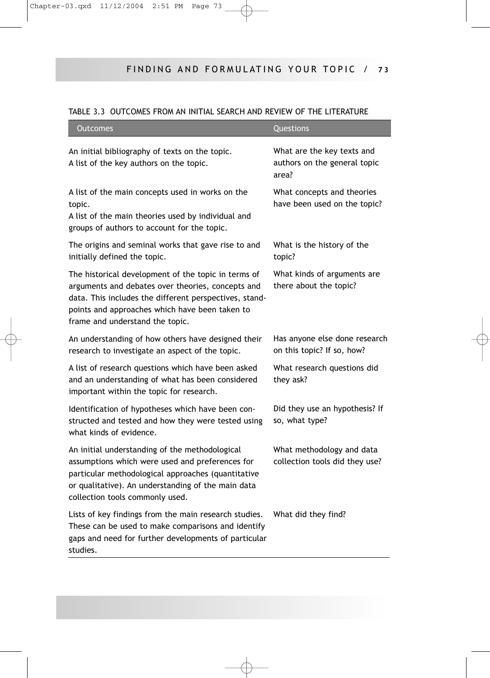$\oplus$ 

#### TABLE 3.3 OUTCOMES FROM AN INITIAL SEARCH AND REVIEW OF THE LITERATURE

| Outcomes                                                                                                                                                                                                                                                | Questions                                                           |
|---------------------------------------------------------------------------------------------------------------------------------------------------------------------------------------------------------------------------------------------------------|---------------------------------------------------------------------|
| An initial bibliography of texts on the topic.<br>A list of the key authors on the topic.                                                                                                                                                               | What are the key texts and<br>authors on the general topic<br>area? |
| A list of the main concepts used in works on the<br>topic.<br>A list of the main theories used by individual and<br>groups of authors to account for the topic.                                                                                         | What concepts and theories<br>have been used on the topic?          |
| The origins and seminal works that gave rise to and<br>initially defined the topic.                                                                                                                                                                     | What is the history of the<br>topic?                                |
| The historical development of the topic in terms of<br>arguments and debates over theories, concepts and<br>data. This includes the different perspectives, stand-<br>points and approaches which have been taken to<br>frame and understand the topic. | What kinds of arguments are<br>there about the topic?               |
| An understanding of how others have designed their<br>research to investigate an aspect of the topic.                                                                                                                                                   | Has anyone else done research<br>on this topic? If so, how?         |
| A list of research questions which have been asked<br>and an understanding of what has been considered<br>important within the topic for research.                                                                                                      | What research questions did<br>they ask?                            |
| Identification of hypotheses which have been con-<br>structed and tested and how they were tested using<br>what kinds of evidence.                                                                                                                      | Did they use an hypothesis? If<br>so, what type?                    |
| An initial understanding of the methodological<br>assumptions which were used and preferences for<br>particular methodological approaches (quantitative<br>or qualitative). An understanding of the main data<br>collection tools commonly used.        | What methodology and data<br>collection tools did they use?         |
| Lists of key findings from the main research studies.<br>These can be used to make comparisons and identify<br>gaps and need for further developments of particular<br>studies.                                                                         | What did they find?                                                 |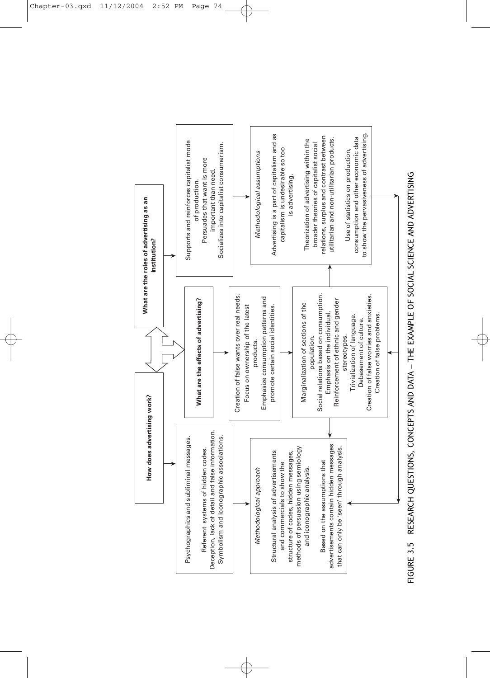

 $\oplus$ 

 $\phi$ 

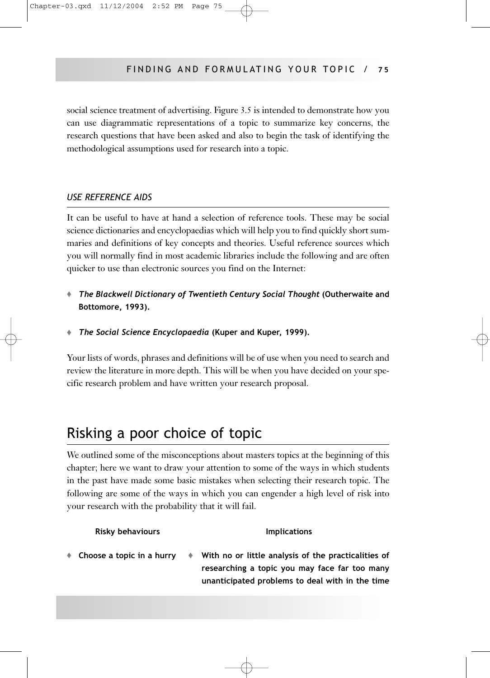social science treatment of advertising. Figure 3.5 is intended to demonstrate how you can use diagrammatic representations of a topic to summarize key concerns, the research questions that have been asked and also to begin the task of identifying the methodological assumptions used for research into a topic.

#### USE REFERENCE AIDS

It can be useful to have at hand a selection of reference tools. These may be social science dictionaries and encyclopaedias which will help you to find quickly short summaries and definitions of key concepts and theories. Useful reference sources which you will normally find in most academic libraries include the following and are often quicker to use than electronic sources you find on the Internet:

- ♦ The Blackwell Dictionary of Twentieth Century Social Thought (Outherwaite and Bottomore, 1993).
- The Social Science Encyclopaedia (Kuper and Kuper, 1999).

Your lists of words, phrases and definitions will be of use when you need to search and review the literature in more depth. This will be when you have decided on your specific research problem and have written your research proposal.

# Risking a poor choice of topic

We outlined some of the misconceptions about masters topics at the beginning of this chapter; here we want to draw your attention to some of the ways in which students in the past have made some basic mistakes when selecting their research topic. The following are some of the ways in which you can engender a high level of risk into your research with the probability that it will fail.

#### Risky behaviours **Implications**

Choose a topic in a hurry  $\quad \blacklozenge$  With no or little analysis of the practicalities of researching a topic you may face far too many unanticipated problems to deal with in the time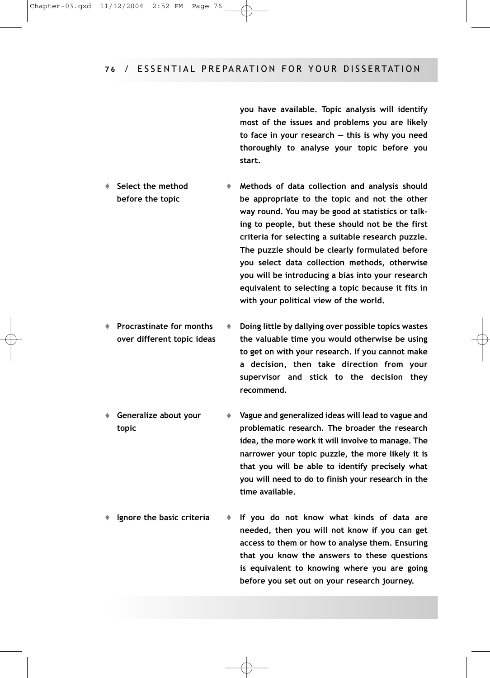#### 7 6 / ESSENTIAL PREPARATION FOR YOUR DISSERTATION

you have available. Topic analysis will identify most of the issues and problems you are likely to face in your research — this is why you need thoroughly to analyse your topic before you start.

- Select the method  $\qquad \quad \ast \quad$  Methods of data collection and analysis should before the topic be appropriate to the topic and not the other way round. You may be good at statistics or talking to people, but these should not be the first criteria for selecting a suitable research puzzle. The puzzle should be clearly formulated before you select data collection methods, otherwise you will be introducing a bias into your research equivalent to selecting a topic because it fits in with your political view of the world.
- **Procrastinate for months**  $\bullet$  **Doing little by dallying over possible topics wastes** over different topic ideas the valuable time you would otherwise be using to get on with your research. If you cannot make a decision, then take direction from your supervisor and stick to the decision they recommend.
- ♦ Generalize about your ♦ Vague and generalized ideas will lead to vague and topic problematic research. The broader the research idea, the more work it will involve to manage. The narrower your topic puzzle, the more likely it is that you will be able to identify precisely what you will need to do to finish your research in the time available.
- Ignore the basic criteria  $\quad \bullet$  If you do not know what kinds of data are needed, then you will not know if you can get access to them or how to analyse them. Ensuring that you know the answers to these questions is equivalent to knowing where you are going before you set out on your research journey.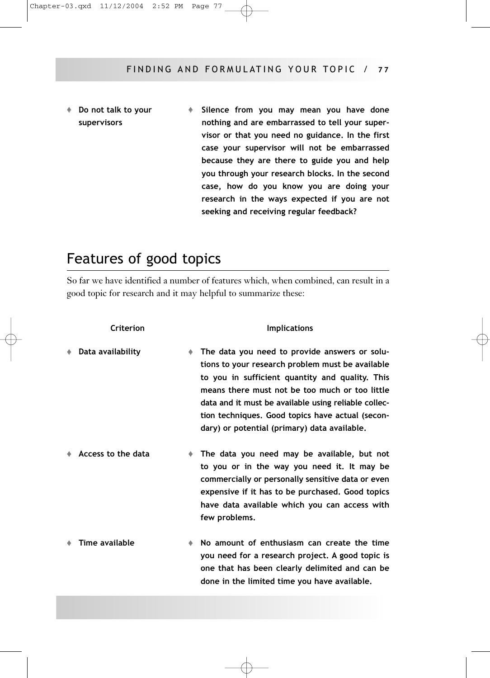♦ Do not talk to your ♦ Silence from you may mean you have done supervisors **nothing and are embarrassed to tell your super**visor or that you need no guidance. In the first case your supervisor will not be embarrassed because they are there to guide you and help you through your research blocks. In the second case, how do you know you are doing your research in the ways expected if you are not seeking and receiving regular feedback?

# Features of good topics

So far we have identified a number of features which, when combined, can result in a good topic for research and it may helpful to summarize these:

| Criterion          | <b>Implications</b>                                                                                                                                                                                                                                                                                                                                                |
|--------------------|--------------------------------------------------------------------------------------------------------------------------------------------------------------------------------------------------------------------------------------------------------------------------------------------------------------------------------------------------------------------|
| Data availability  | The data you need to provide answers or solu-<br>tions to your research problem must be available<br>to you in sufficient quantity and quality. This<br>means there must not be too much or too little<br>data and it must be available using reliable collec-<br>tion techniques. Good topics have actual (secon-<br>dary) or potential (primary) data available. |
| Access to the data | The data you need may be available, but not<br>to you or in the way you need it. It may be<br>commercially or personally sensitive data or even<br>expensive if it has to be purchased. Good topics<br>have data available which you can access with<br>few problems.                                                                                              |
| Time available     | No amount of enthusiasm can create the time<br>you need for a research project. A good topic is<br>one that has been clearly delimited and can be<br>done in the limited time you have available.                                                                                                                                                                  |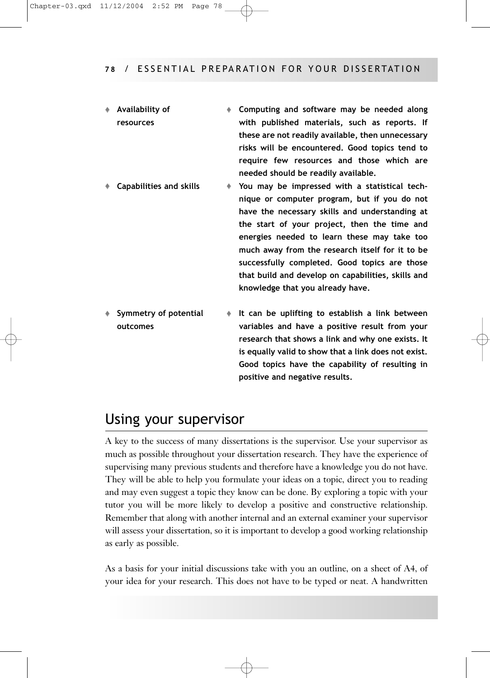#### 7 8 / ESSENTIAL PREPARATION FOR YOUR DISSERTATION

- Availability of  $\blacklozenge$   $\blacklozenge$  Computing and software may be needed along resources with published materials, such as reports. If these are not readily available, then unnecessary risks will be encountered. Good topics tend to require few resources and those which are needed should be readily available.
	- Capabilities and skills  $\qquad$  You may be impressed with a statistical technique or computer program, but if you do not have the necessary skills and understanding at the start of your project, then the time and energies needed to learn these may take too much away from the research itself for it to be successfully completed. Good topics are those that build and develop on capabilities, skills and knowledge that you already have.
- Symmetry of potential  $\quad \bullet$  It can be uplifting to establish a link between outcomes variables and have a positive result from your research that shows a link and why one exists. It is equally valid to show that a link does not exist. Good topics have the capability of resulting in positive and negative results.

# Using your supervisor

A key to the success of many dissertations is the supervisor. Use your supervisor as much as possible throughout your dissertation research. They have the experience of supervising many previous students and therefore have a knowledge you do not have. They will be able to help you formulate your ideas on a topic, direct you to reading and may even suggest a topic they know can be done. By exploring a topic with your tutor you will be more likely to develop a positive and constructive relationship. Remember that along with another internal and an external examiner your supervisor will assess your dissertation, so it is important to develop a good working relationship as early as possible.

As a basis for your initial discussions take with you an outline, on a sheet of A4, of your idea for your research. This does not have to be typed or neat. A handwritten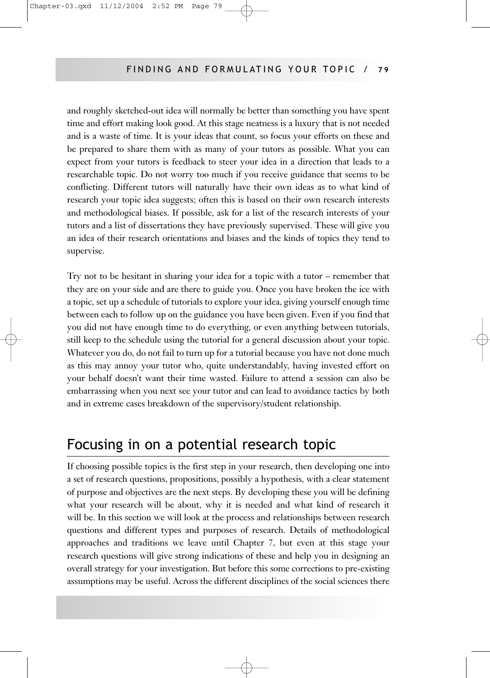and roughly sketched-out idea will normally be better than something you have spent time and effort making look good. At this stage neatness is a luxury that is not needed and is a waste of time. It is your ideas that count, so focus your efforts on these and be prepared to share them with as many of your tutors as possible. What you can expect from your tutors is feedback to steer your idea in a direction that leads to a researchable topic. Do not worry too much if you receive guidance that seems to be conflicting. Different tutors will naturally have their own ideas as to what kind of research your topic idea suggests; often this is based on their own research interests and methodological biases. If possible, ask for a list of the research interests of your tutors and a list of dissertations they have previously supervised. These will give you an idea of their research orientations and biases and the kinds of topics they tend to supervise.

Try not to be hesitant in sharing your idea for a topic with a tutor – remember that they are on your side and are there to guide you. Once you have broken the ice with a topic, set up a schedule of tutorials to explore your idea, giving yourself enough time between each to follow up on the guidance you have been given. Even if you find that you did not have enough time to do everything, or even anything between tutorials, still keep to the schedule using the tutorial for a general discussion about your topic. Whatever you do, do not fail to turn up for a tutorial because you have not done much as this may annoy your tutor who, quite understandably, having invested effort on your behalf doesn't want their time wasted. Failure to attend a session can also be embarrassing when you next see your tutor and can lead to avoidance tactics by both and in extreme cases breakdown of the supervisory/student relationship.

# Focusing in on a potential research topic

If choosing possible topics is the first step in your research, then developing one into a set of research questions, propositions, possibly a hypothesis, with a clear statement of purpose and objectives are the next steps. By developing these you will be defining what your research will be about, why it is needed and what kind of research it will be. In this section we will look at the process and relationships between research questions and different types and purposes of research. Details of methodological approaches and traditions we leave until Chapter 7, but even at this stage your research questions will give strong indications of these and help you in designing an overall strategy for your investigation. But before this some corrections to pre-existing assumptions may be useful. Across the different disciplines of the social sciences there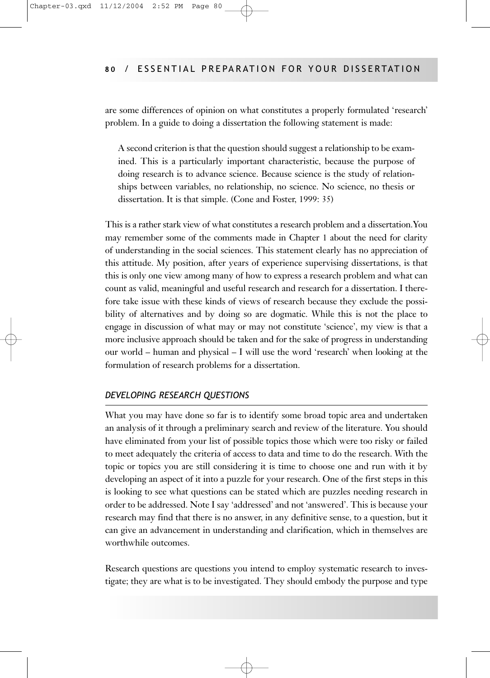#### 8 0 / ESSENTIAL PREPARATION FOR YOUR DISSERTATION

are some differences of opinion on what constitutes a properly formulated 'research' problem. In a guide to doing a dissertation the following statement is made:

A second criterion is that the question should suggest a relationship to be examined. This is a particularly important characteristic, because the purpose of doing research is to advance science. Because science is the study of relationships between variables, no relationship, no science. No science, no thesis or dissertation. It is that simple. (Cone and Foster, 1999: 35)

This is a rather stark view of what constitutes a research problem and a dissertation.You may remember some of the comments made in Chapter 1 about the need for clarity of understanding in the social sciences. This statement clearly has no appreciation of this attitude. My position, after years of experience supervising dissertations, is that this is only one view among many of how to express a research problem and what can count as valid, meaningful and useful research and research for a dissertation. I therefore take issue with these kinds of views of research because they exclude the possibility of alternatives and by doing so are dogmatic. While this is not the place to engage in discussion of what may or may not constitute 'science', my view is that a more inclusive approach should be taken and for the sake of progress in understanding our world – human and physical – I will use the word 'research' when looking at the formulation of research problems for a dissertation.

#### DEVELOPING RESEARCH QUESTIONS

What you may have done so far is to identify some broad topic area and undertaken an analysis of it through a preliminary search and review of the literature. You should have eliminated from your list of possible topics those which were too risky or failed to meet adequately the criteria of access to data and time to do the research. With the topic or topics you are still considering it is time to choose one and run with it by developing an aspect of it into a puzzle for your research. One of the first steps in this is looking to see what questions can be stated which are puzzles needing research in order to be addressed. Note I say 'addressed' and not 'answered'. This is because your research may find that there is no answer, in any definitive sense, to a question, but it can give an advancement in understanding and clarification, which in themselves are worthwhile outcomes.

Research questions are questions you intend to employ systematic research to investigate; they are what is to be investigated. They should embody the purpose and type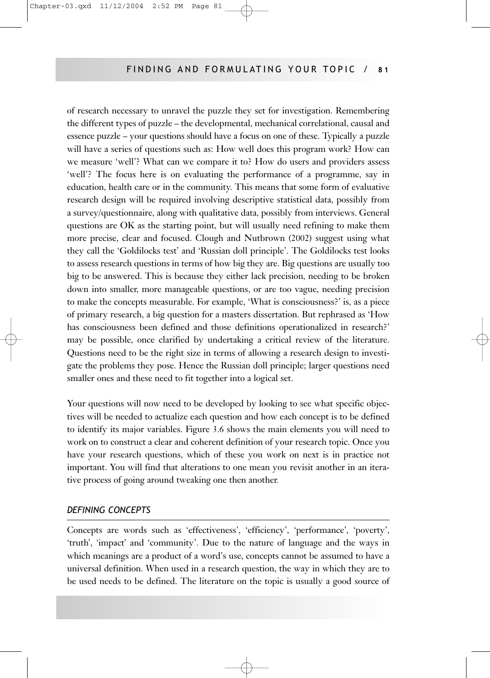of research necessary to unravel the puzzle they set for investigation. Remembering the different types of puzzle – the developmental, mechanical correlational, causal and essence puzzle – your questions should have a focus on one of these. Typically a puzzle will have a series of questions such as: How well does this program work? How can we measure 'well'? What can we compare it to? How do users and providers assess 'well'? The focus here is on evaluating the performance of a programme, say in education, health care or in the community. This means that some form of evaluative research design will be required involving descriptive statistical data, possibly from a survey/questionnaire, along with qualitative data, possibly from interviews. General questions are OK as the starting point, but will usually need refining to make them more precise, clear and focused. Clough and Nutbrown (2002) suggest using what they call the 'Goldilocks test' and 'Russian doll principle'. The Goldilocks test looks to assess research questions in terms of how big they are. Big questions are usually too big to be answered. This is because they either lack precision, needing to be broken down into smaller, more manageable questions, or are too vague, needing precision to make the concepts measurable. For example, 'What is consciousness?' is, as a piece of primary research, a big question for a masters dissertation. But rephrased as 'How has consciousness been defined and those definitions operationalized in research?' may be possible, once clarified by undertaking a critical review of the literature. Questions need to be the right size in terms of allowing a research design to investigate the problems they pose. Hence the Russian doll principle; larger questions need smaller ones and these need to fit together into a logical set.

Your questions will now need to be developed by looking to see what specific objectives will be needed to actualize each question and how each concept is to be defined to identify its major variables. Figure 3.6 shows the main elements you will need to work on to construct a clear and coherent definition of your research topic. Once you have your research questions, which of these you work on next is in practice not important. You will find that alterations to one mean you revisit another in an iterative process of going around tweaking one then another.

#### DEFINING CONCEPTS

Concepts are words such as 'effectiveness', 'efficiency', 'performance', 'poverty', 'truth', 'impact' and 'community'. Due to the nature of language and the ways in which meanings are a product of a word's use, concepts cannot be assumed to have a universal definition. When used in a research question, the way in which they are to be used needs to be defined. The literature on the topic is usually a good source of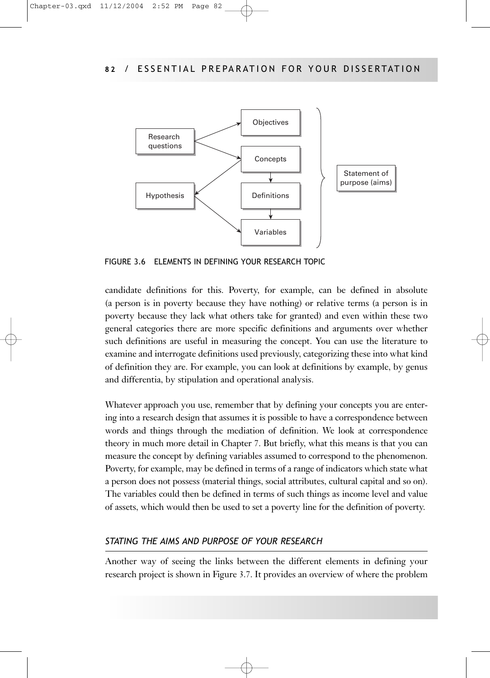#### 8 2 / ESSENTIAL PREPARATION FOR YOUR DISSERTATION



FIGURE 3.6 ELEMENTS IN DEFINING YOUR RESEARCH TOPIC

candidate definitions for this. Poverty, for example, can be defined in absolute (a person is in poverty because they have nothing) or relative terms (a person is in poverty because they lack what others take for granted) and even within these two general categories there are more specific definitions and arguments over whether such definitions are useful in measuring the concept. You can use the literature to examine and interrogate definitions used previously, categorizing these into what kind of definition they are. For example, you can look at definitions by example, by genus and differentia, by stipulation and operational analysis.

Whatever approach you use, remember that by defining your concepts you are entering into a research design that assumes it is possible to have a correspondence between words and things through the mediation of definition. We look at correspondence theory in much more detail in Chapter 7. But briefly, what this means is that you can measure the concept by defining variables assumed to correspond to the phenomenon. Poverty, for example, may be defined in terms of a range of indicators which state what a person does not possess (material things, social attributes, cultural capital and so on). The variables could then be defined in terms of such things as income level and value of assets, which would then be used to set a poverty line for the definition of poverty.

#### STATING THE AIMS AND PURPOSE OF YOUR RESEARCH

Another way of seeing the links between the different elements in defining your research project is shown in Figure 3.7. It provides an overview of where the problem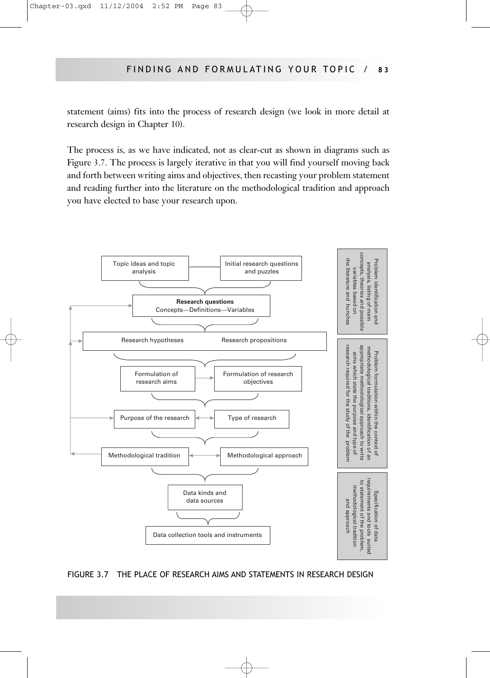statement (aims) fits into the process of research design (we look in more detail at research design in Chapter 10).

The process is, as we have indicated, not as clear-cut as shown in diagrams such as Figure 3.7. The process is largely iterative in that you will find yourself moving back and forth between writing aims and objectives, then recasting your problem statement and reading further into the literature on the methodological tradition and approach you have elected to base your research upon.



FIGURE 3.7 THE PLACE OF RESEARCH AIMS AND STATEMENTS IN RESEARCH DESIGN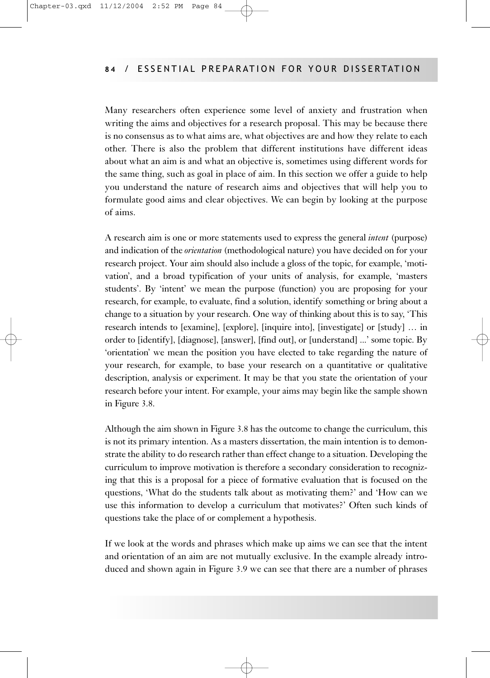#### 8 4 / ESSENTIAL PREPARATION FOR YOUR DISSERTATION

Many researchers often experience some level of anxiety and frustration when writing the aims and objectives for a research proposal. This may be because there is no consensus as to what aims are, what objectives are and how they relate to each other. There is also the problem that different institutions have different ideas about what an aim is and what an objective is, sometimes using different words for the same thing, such as goal in place of aim. In this section we offer a guide to help you understand the nature of research aims and objectives that will help you to formulate good aims and clear objectives. We can begin by looking at the purpose of aims.

A research aim is one or more statements used to express the general *intent* (purpose) and indication of the *orientation* (methodological nature) you have decided on for your research project. Your aim should also include a gloss of the topic, for example, 'motivation', and a broad typification of your units of analysis, for example, 'masters students'. By 'intent' we mean the purpose (function) you are proposing for your research, for example, to evaluate, find a solution, identify something or bring about a change to a situation by your research. One way of thinking about this is to say, 'This research intends to [examine], [explore], [inquire into], [investigate] or [study] … in order to [identify], [diagnose], [answer], [find out], or [understand] ...' some topic. By 'orientation' we mean the position you have elected to take regarding the nature of your research, for example, to base your research on a quantitative or qualitative description, analysis or experiment. It may be that you state the orientation of your research before your intent. For example, your aims may begin like the sample shown in Figure 3.8.

Although the aim shown in Figure 3.8 has the outcome to change the curriculum, this is not its primary intention. As a masters dissertation, the main intention is to demonstrate the ability to do research rather than effect change to a situation. Developing the curriculum to improve motivation is therefore a secondary consideration to recognizing that this is a proposal for a piece of formative evaluation that is focused on the questions, 'What do the students talk about as motivating them?' and 'How can we use this information to develop a curriculum that motivates?' Often such kinds of questions take the place of or complement a hypothesis.

If we look at the words and phrases which make up aims we can see that the intent and orientation of an aim are not mutually exclusive. In the example already introduced and shown again in Figure 3.9 we can see that there are a number of phrases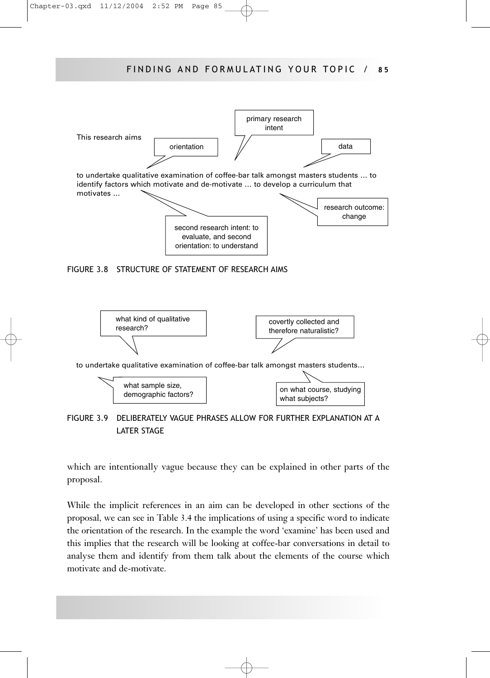

FIGURE 3.8 STRUCTURE OF STATEMENT OF RESEARCH AIMS



to undertake qualitative examination of coffee-bar talk amongst masters students…



FIGURE 3.9 DELIBERATELY VAGUE PHRASES ALLOW FOR FURTHER EXPLANATION AT A LATER STAGE

which are intentionally vague because they can be explained in other parts of the proposal.

While the implicit references in an aim can be developed in other sections of the proposal, we can see in Table 3.4 the implications of using a specific word to indicate the orientation of the research. In the example the word 'examine' has been used and this implies that the research will be looking at coffee-bar conversations in detail to analyse them and identify from them talk about the elements of the course which motivate and de-motivate.

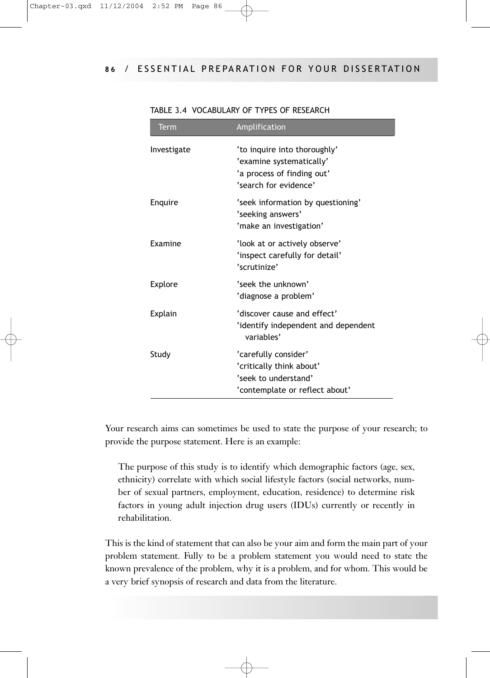#### 8 6 / ESSENTIAL PREPARATION FOR YOUR DISSERTATION

| Term        | Amplification                                                                                                   |
|-------------|-----------------------------------------------------------------------------------------------------------------|
| Investigate | 'to inquire into thoroughly'<br>'examine systematically'<br>'a process of finding out'<br>'search for evidence' |
| Enquire     | 'seek information by questioning'<br>'seeking answers'<br>'make an investigation'                               |
| Examine     | 'look at or actively observe'<br>'inspect carefully for detail'<br>'scrutinize'                                 |
| Explore     | 'seek the unknown'<br>'diagnose a problem'                                                                      |
| Explain     | 'discover cause and effect'<br>'identify independent and dependent<br>variables'                                |
| Study       | 'carefully consider'<br>'critically think about'<br>'seek to understand'<br>'contemplate or reflect about'      |

#### TABLE 3.4 VOCABULARY OF TYPES OF RESEARCH

Your research aims can sometimes be used to state the purpose of your research; to provide the purpose statement. Here is an example:

The purpose of this study is to identify which demographic factors (age, sex, ethnicity) correlate with which social lifestyle factors (social networks, number of sexual partners, employment, education, residence) to determine risk factors in young adult injection drug users (IDUs) currently or recently in rehabilitation.

This is the kind of statement that can also be your aim and form the main part of your problem statement. Fully to be a problem statement you would need to state the known prevalence of the problem, why it is a problem, and for whom. This would be a very brief synopsis of research and data from the literature.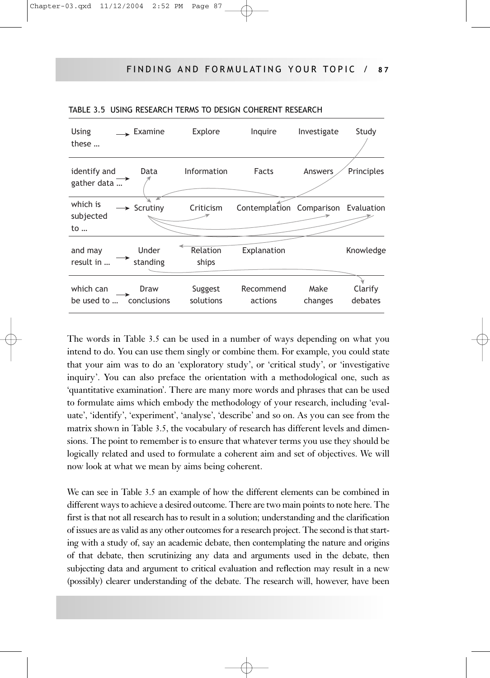| <b>Using</b><br>these                           | Examine                | Explore              | Inquire                  | Investigate     | Study              |
|-------------------------------------------------|------------------------|----------------------|--------------------------|-----------------|--------------------|
| identify and<br>gather data $\overline{\ldots}$ | Data                   | <b>Information</b>   | Facts                    | Answers         | Principles         |
| which is<br>subjected<br>$\mathsf{to}$          | $\rightarrow$ Scrutiny | Criticism            | Contemplation Comparison |                 | Evaluation         |
| and may<br>result in                            | Under<br>standing      | Relation<br>ships    | Explanation              |                 | Knowledge          |
| which can<br>be used to                         | Draw<br>conclusions    | Suggest<br>solutions | Recommend<br>actions     | Make<br>changes | Clarify<br>debates |

#### TABLE 3.5 USING RESEARCH TERMS TO DESIGN COHERENT RESEARCH

The words in Table 3.5 can be used in a number of ways depending on what you intend to do. You can use them singly or combine them. For example, you could state that your aim was to do an 'exploratory study', or 'critical study', or 'investigative inquiry'. You can also preface the orientation with a methodological one, such as 'quantitative examination'. There are many more words and phrases that can be used to formulate aims which embody the methodology of your research, including 'evaluate', 'identify', 'experiment', 'analyse', 'describe' and so on. As you can see from the matrix shown in Table 3.5, the vocabulary of research has different levels and dimensions. The point to remember is to ensure that whatever terms you use they should be logically related and used to formulate a coherent aim and set of objectives. We will now look at what we mean by aims being coherent.

We can see in Table 3.5 an example of how the different elements can be combined in different ways to achieve a desired outcome. There are two main points to note here. The first is that not all research has to result in a solution; understanding and the clarification of issues are as valid as any other outcomes for a research project. The second is that starting with a study of, say an academic debate, then contemplating the nature and origins of that debate, then scrutinizing any data and arguments used in the debate, then subjecting data and argument to critical evaluation and reflection may result in a new (possibly) clearer understanding of the debate. The research will, however, have been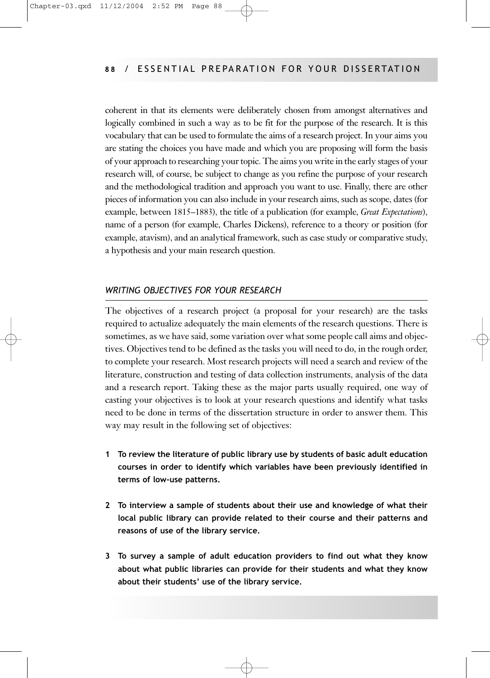#### 8 8 / ESSENTIAL PREPARATION FOR YOUR DISSERTATION

coherent in that its elements were deliberately chosen from amongst alternatives and logically combined in such a way as to be fit for the purpose of the research. It is this vocabulary that can be used to formulate the aims of a research project. In your aims you are stating the choices you have made and which you are proposing will form the basis of your approach to researching your topic. The aims you write in the early stages of your research will, of course, be subject to change as you refine the purpose of your research and the methodological tradition and approach you want to use. Finally, there are other pieces of information you can also include in your research aims, such as scope, dates (for example, between 1815–1883), the title of a publication (for example, *Great Expectations*), name of a person (for example, Charles Dickens), reference to a theory or position (for example, atavism), and an analytical framework, such as case study or comparative study, a hypothesis and your main research question.

#### WRITING OBJECTIVES FOR YOUR RESEARCH

The objectives of a research project (a proposal for your research) are the tasks required to actualize adequately the main elements of the research questions. There is sometimes, as we have said, some variation over what some people call aims and objectives. Objectives tend to be defined as the tasks you will need to do, in the rough order, to complete your research. Most research projects will need a search and review of the literature, construction and testing of data collection instruments, analysis of the data and a research report. Taking these as the major parts usually required, one way of casting your objectives is to look at your research questions and identify what tasks need to be done in terms of the dissertation structure in order to answer them. This way may result in the following set of objectives:

- 1 To review the literature of public library use by students of basic adult education courses in order to identify which variables have been previously identified in terms of low-use patterns.
- 2 To interview a sample of students about their use and knowledge of what their local public library can provide related to their course and their patterns and reasons of use of the library service.
- 3 To survey a sample of adult education providers to find out what they know about what public libraries can provide for their students and what they know about their students' use of the library service.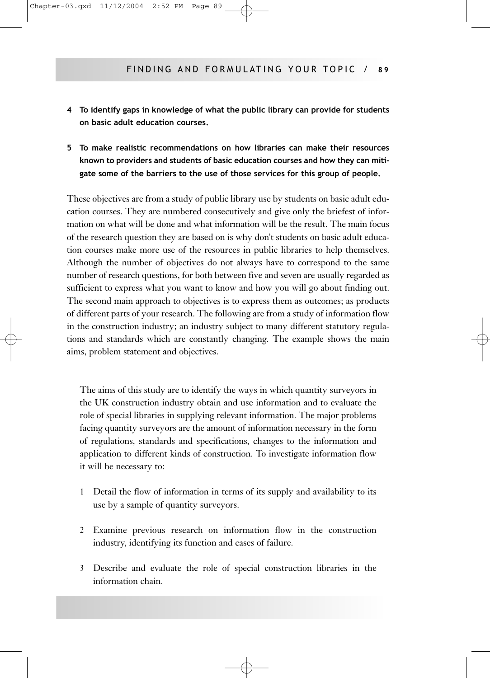- 4 To identify gaps in knowledge of what the public library can provide for students on basic adult education courses.
- 5 To make realistic recommendations on how libraries can make their resources known to providers and students of basic education courses and how they can mitigate some of the barriers to the use of those services for this group of people.

These objectives are from a study of public library use by students on basic adult education courses. They are numbered consecutively and give only the briefest of information on what will be done and what information will be the result. The main focus of the research question they are based on is why don't students on basic adult education courses make more use of the resources in public libraries to help themselves. Although the number of objectives do not always have to correspond to the same number of research questions, for both between five and seven are usually regarded as sufficient to express what you want to know and how you will go about finding out. The second main approach to objectives is to express them as outcomes; as products of different parts of your research. The following are from a study of information flow in the construction industry; an industry subject to many different statutory regulations and standards which are constantly changing. The example shows the main aims, problem statement and objectives.

The aims of this study are to identify the ways in which quantity surveyors in the UK construction industry obtain and use information and to evaluate the role of special libraries in supplying relevant information. The major problems facing quantity surveyors are the amount of information necessary in the form of regulations, standards and specifications, changes to the information and application to different kinds of construction. To investigate information flow it will be necessary to:

- 1 Detail the flow of information in terms of its supply and availability to its use by a sample of quantity surveyors.
- 2 Examine previous research on information flow in the construction industry, identifying its function and cases of failure.
- 3 Describe and evaluate the role of special construction libraries in the information chain.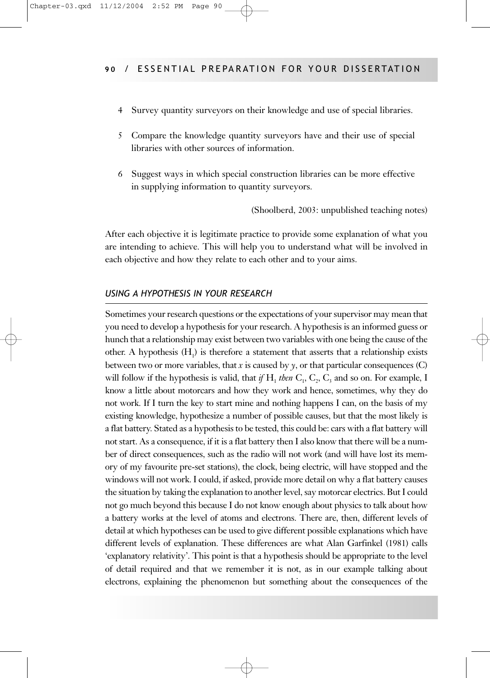#### 9 0 / ESSENTIAL PREPARATION FOR YOUR DISSERTATION

- Survey quantity surveyors on their knowledge and use of special libraries.
- 5 Compare the knowledge quantity surveyors have and their use of special libraries with other sources of information.
- 6 Suggest ways in which special construction libraries can be more effective in supplying information to quantity surveyors.

(Shoolberd, 2003: unpublished teaching notes)

After each objective it is legitimate practice to provide some explanation of what you are intending to achieve. This will help you to understand what will be involved in each objective and how they relate to each other and to your aims.

#### USING A HYPOTHESIS IN YOUR RESEARCH

Sometimes your research questions or the expectations of your supervisor may mean that you need to develop a hypothesis for your research. A hypothesis is an informed guess or hunch that a relationship may exist between two variables with one being the cause of the other. A hypothesis  $(H_1)$  is therefore a statement that asserts that a relationship exists between two or more variables, that *x* is caused by  $\gamma$ , or that particular consequences (C) will follow if the hypothesis is valid, that  $if H_1$  *then*  $C_1$ ,  $C_2$ ,  $C_3$  and so on. For example, I know a little about motorcars and how they work and hence, sometimes, why they do not work. If I turn the key to start mine and nothing happens I can, on the basis of my existing knowledge, hypothesize a number of possible causes, but that the most likely is a flat battery. Stated as a hypothesis to be tested, this could be: cars with a flat battery will not start. As a consequence, if it is a flat battery then I also know that there will be a number of direct consequences, such as the radio will not work (and will have lost its memory of my favourite pre-set stations), the clock, being electric, will have stopped and the windows will not work. I could, if asked, provide more detail on why a flat battery causes the situation by taking the explanation to another level, say motorcar electrics. But I could not go much beyond this because I do not know enough about physics to talk about how a battery works at the level of atoms and electrons. There are, then, different levels of detail at which hypotheses can be used to give different possible explanations which have different levels of explanation. These differences are what Alan Garfinkel (1981) calls 'explanatory relativity'. This point is that a hypothesis should be appropriate to the level of detail required and that we remember it is not, as in our example talking about electrons, explaining the phenomenon but something about the consequences of the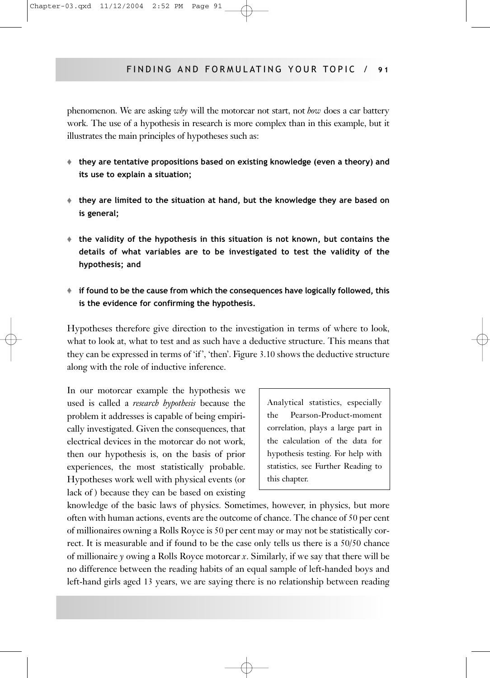phenomenon. We are asking *why* will the motorcar not start, not *how* does a car battery work. The use of a hypothesis in research is more complex than in this example, but it illustrates the main principles of hypotheses such as:

- ♦ they are tentative propositions based on existing knowledge (even a theory) and its use to explain a situation;
- ♦ they are limited to the situation at hand, but the knowledge they are based on is general;
- ♦ the validity of the hypothesis in this situation is not known, but contains the details of what variables are to be investigated to test the validity of the hypothesis; and
- ♦ if found to be the cause from which the consequences have logically followed, this is the evidence for confirming the hypothesis.

Hypotheses therefore give direction to the investigation in terms of where to look, what to look at, what to test and as such have a deductive structure. This means that they can be expressed in terms of 'if', 'then'. Figure 3.10 shows the deductive structure along with the role of inductive inference.

In our motorcar example the hypothesis we used is called a *research hypothesis* because the problem it addresses is capable of being empirically investigated. Given the consequences, that electrical devices in the motorcar do not work, then our hypothesis is, on the basis of prior experiences, the most statistically probable. Hypotheses work well with physical events (or lack of ) because they can be based on existing

Analytical statistics, especially the Pearson-Product-moment correlation, plays a large part in the calculation of the data for hypothesis testing. For help with statistics, see Further Reading to this chapter.

knowledge of the basic laws of physics. Sometimes, however, in physics, but more often with human actions, events are the outcome of chance. The chance of 50 per cent of millionaires owning a Rolls Royce is 50 per cent may or may not be statistically correct. It is measurable and if found to be the case only tells us there is a 50/50 chance of millionaire  $\gamma$  owing a Rolls Royce motorcar  $\alpha$ . Similarly, if we say that there will be no difference between the reading habits of an equal sample of left-handed boys and left-hand girls aged 13 years, we are saying there is no relationship between reading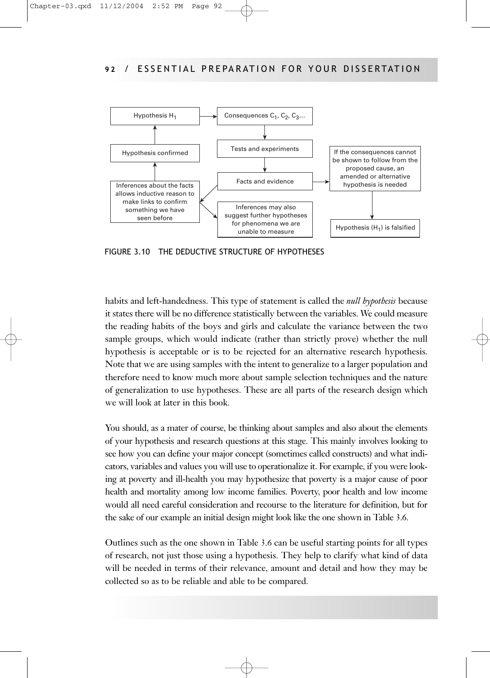#### 9 2 / ESSENTIAL PREPARATION FOR YOUR DISSERTATION



FIGURE 3.10 THE DEDUCTIVE STRUCTURE OF HYPOTHESES

habits and left-handedness. This type of statement is called the *null hypothesis* because it states there will be no difference statistically between the variables. We could measure the reading habits of the boys and girls and calculate the variance between the two sample groups, which would indicate (rather than strictly prove) whether the null hypothesis is acceptable or is to be rejected for an alternative research hypothesis. Note that we are using samples with the intent to generalize to a larger population and therefore need to know much more about sample selection techniques and the nature of generalization to use hypotheses. These are all parts of the research design which we will look at later in this book.

You should, as a mater of course, be thinking about samples and also about the elements of your hypothesis and research questions at this stage. This mainly involves looking to see how you can define your major concept (sometimes called constructs) and what indicators, variables and values you will use to operationalize it. For example, if you were looking at poverty and ill-health you may hypothesize that poverty is a major cause of poor health and mortality among low income families. Poverty, poor health and low income would all need careful consideration and recourse to the literature for definition, but for the sake of our example an initial design might look like the one shown in Table 3.6.

Outlines such as the one shown in Table 3.6 can be useful starting points for all types of research, not just those using a hypothesis. They help to clarify what kind of data will be needed in terms of their relevance, amount and detail and how they may be collected so as to be reliable and able to be compared.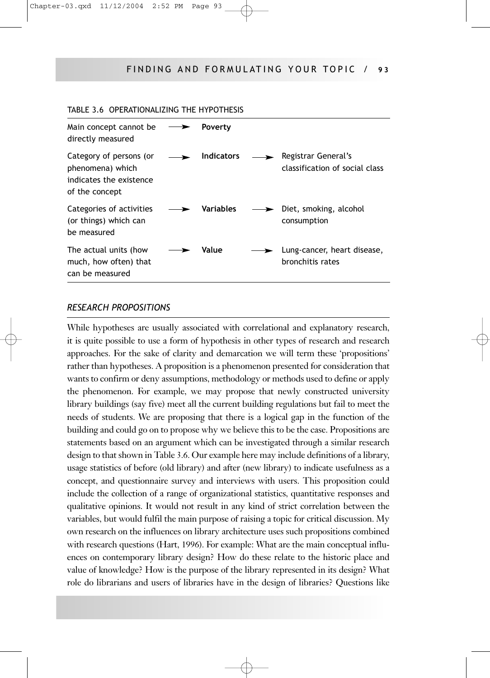#### TABLE 3.6 OPERATIONALIZING THE HYPOTHESIS

| Main concept cannot be $\longrightarrow$ Poverty<br>directly measured                    |                         |                                                                                                      |
|------------------------------------------------------------------------------------------|-------------------------|------------------------------------------------------------------------------------------------------|
| Category of persons (or<br>phenomena) which<br>indicates the existence<br>of the concept |                         | $\longrightarrow$ Indicators $\longrightarrow$ Registrar General's<br>classification of social class |
| Categories of activities<br>(or things) which can<br>be measured                         | $\rightarrow$ Variables | $\longrightarrow$ Diet, smoking, alcohol<br>consumption                                              |
| The actual units (how<br>much, how often) that<br>can be measured                        | Value                   | $\longrightarrow$ Lung-cancer, heart disease,<br>bronchitis rates                                    |

#### RESEARCH PROPOSITIONS

While hypotheses are usually associated with correlational and explanatory research, it is quite possible to use a form of hypothesis in other types of research and research approaches. For the sake of clarity and demarcation we will term these 'propositions' rather than hypotheses. A proposition is a phenomenon presented for consideration that wants to confirm or deny assumptions, methodology or methods used to define or apply the phenomenon. For example, we may propose that newly constructed university library buildings (say five) meet all the current building regulations but fail to meet the needs of students. We are proposing that there is a logical gap in the function of the building and could go on to propose why we believe this to be the case. Propositions are statements based on an argument which can be investigated through a similar research design to that shown in Table 3.6. Our example here may include definitions of a library, usage statistics of before (old library) and after (new library) to indicate usefulness as a concept, and questionnaire survey and interviews with users. This proposition could include the collection of a range of organizational statistics, quantitative responses and qualitative opinions. It would not result in any kind of strict correlation between the variables, but would fulfil the main purpose of raising a topic for critical discussion. My own research on the influences on library architecture uses such propositions combined with research questions (Hart, 1996). For example: What are the main conceptual influences on contemporary library design? How do these relate to the historic place and value of knowledge? How is the purpose of the library represented in its design? What role do librarians and users of libraries have in the design of libraries? Questions like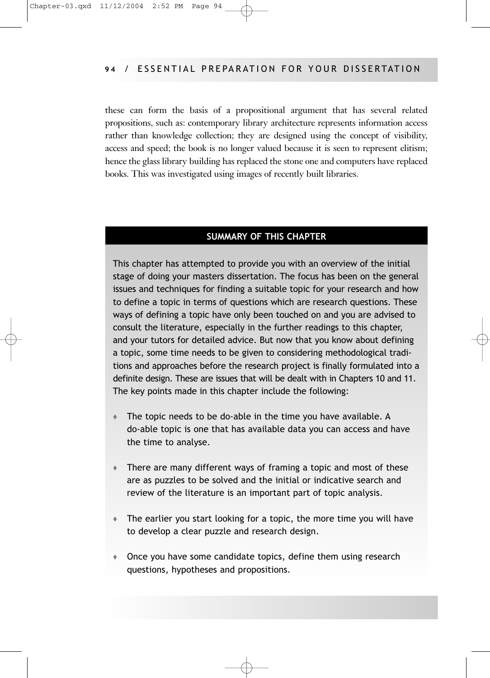#### 9 4 / ESSENTIAL PREPARATION FOR YOUR DISSERTATION

these can form the basis of a propositional argument that has several related propositions, such as: contemporary library architecture represents information access rather than knowledge collection; they are designed using the concept of visibility, access and speed; the book is no longer valued because it is seen to represent elitism; hence the glass library building has replaced the stone one and computers have replaced books. This was investigated using images of recently built libraries.

#### SUMMARY OF THIS CHAPTER

This chapter has attempted to provide you with an overview of the initial stage of doing your masters dissertation. The focus has been on the general issues and techniques for finding a suitable topic for your research and how to define a topic in terms of questions which are research questions. These ways of defining a topic have only been touched on and you are advised to consult the literature, especially in the further readings to this chapter, and your tutors for detailed advice. But now that you know about defining a topic, some time needs to be given to considering methodological traditions and approaches before the research project is finally formulated into a definite design. These are issues that will be dealt with in Chapters 10 and 11. The key points made in this chapter include the following:

- ♦ The topic needs to be do-able in the time you have available. A do-able topic is one that has available data you can access and have the time to analyse.
- ♦ There are many different ways of framing a topic and most of these are as puzzles to be solved and the initial or indicative search and review of the literature is an important part of topic analysis.
- ♦ The earlier you start looking for a topic, the more time you will have to develop a clear puzzle and research design.
- Once you have some candidate topics, define them using research questions, hypotheses and propositions.